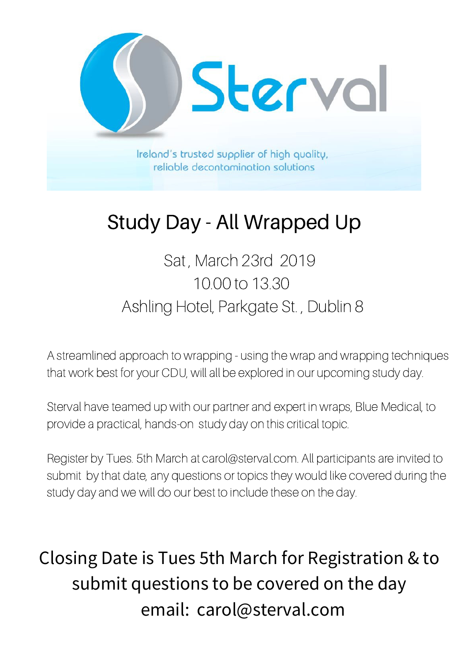

## Study Day - All Wrapped Up

Sat , March 23rd 2019 10.00 to 13.30 Ashling Hotel, Parkgate St. , Dublin 8

A streamlined approach to wrapping - using the wrap and wrapping techniques that work best for your CDU, will all be explored in our upcoming study day.

Sterval have teamed up with our partner and expert in wraps, Blue Medical, to provide a practical, hands-on study day on this critical topic.

Register by Tues. 5th March at carol@sterval.com. All participants are invited to submit by that date, any questions or topics they would like covered during the study day and we will do our best to include these on the day.

Closing Date is Tues 5th March for Registration & to submit questions to be covered on the day email: carol@sterval.com